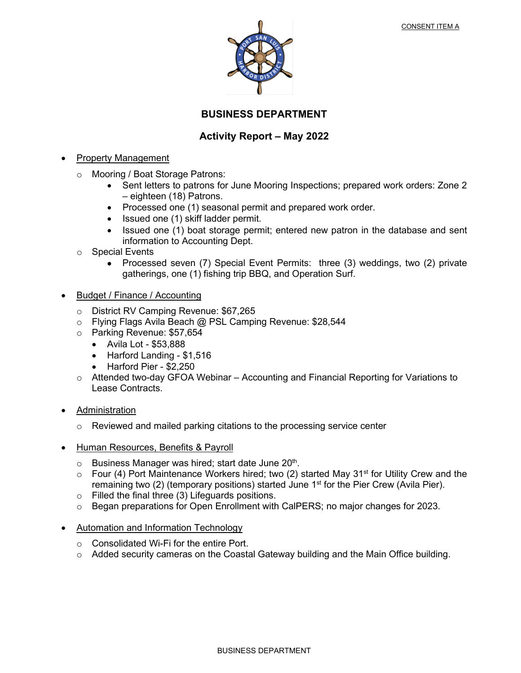

### **BUSINESS DEPARTMENT**

#### **Activity Report – May 2022**

#### • Property Management

- o Mooring / Boat Storage Patrons:
	- Sent letters to patrons for June Mooring Inspections; prepared work orders: Zone 2 – eighteen (18) Patrons.
	- Processed one (1) seasonal permit and prepared work order.
	- Issued one (1) skiff ladder permit.
	- Issued one (1) boat storage permit; entered new patron in the database and sent information to Accounting Dept.
- o Special Events
	- Processed seven (7) Special Event Permits: three (3) weddings, two (2) private gatherings, one (1) fishing trip BBQ, and Operation Surf.
- Budget / Finance / Accounting
	- o District RV Camping Revenue: \$67,265
	- o Flying Flags Avila Beach @ PSL Camping Revenue: \$28,544
	- o Parking Revenue: \$57,654
		- Avila Lot \$53,888
		- Harford Landing \$1,516
		- Harford Pier \$2,250
	- o Attended two-day GFOA Webinar Accounting and Financial Reporting for Variations to Lease Contracts.
- **Administration** 
	- $\circ$  Reviewed and mailed parking citations to the processing service center
- Human Resources, Benefits & Payroll
	- $\circ$  Business Manager was hired; start date June 20<sup>th</sup>.
	- $\circ$  Four (4) Port Maintenance Workers hired; two (2) started May 31<sup>st</sup> for Utility Crew and the remaining two (2) (temporary positions) started June  $1<sup>st</sup>$  for the Pier Crew (Avila Pier).
	- o Filled the final three (3) Lifeguards positions.
	- $\circ$  Began preparations for Open Enrollment with CalPERS; no major changes for 2023.
- Automation and Information Technology
	- o Consolidated Wi-Fi for the entire Port.
	- o Added security cameras on the Coastal Gateway building and the Main Office building.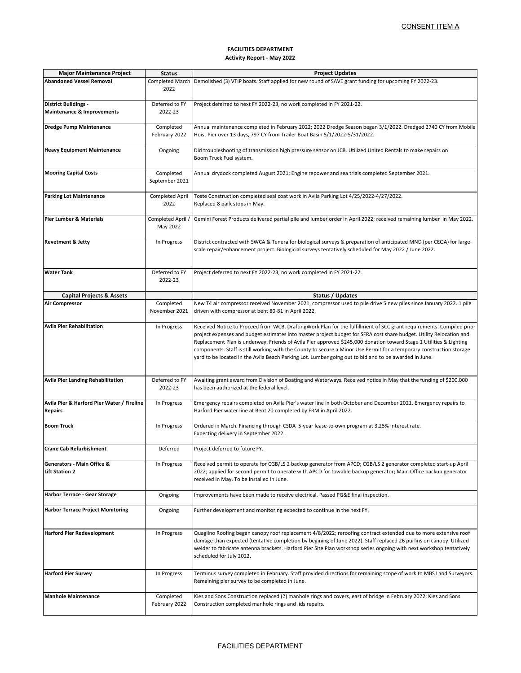#### **FACILITIES DEPARTMENT Activity Report - May 2022**

|                                                                      |                                | <u>CONSENT ITEM A</u>                                                                                                                                                                                                                                                                                                                                                                                                                                                                                                                                                                               |  |  |
|----------------------------------------------------------------------|--------------------------------|-----------------------------------------------------------------------------------------------------------------------------------------------------------------------------------------------------------------------------------------------------------------------------------------------------------------------------------------------------------------------------------------------------------------------------------------------------------------------------------------------------------------------------------------------------------------------------------------------------|--|--|
|                                                                      |                                | <b>FACILITIES DEPARTMENT</b><br><b>Activity Report - May 2022</b>                                                                                                                                                                                                                                                                                                                                                                                                                                                                                                                                   |  |  |
| <b>Major Maintenance Project</b>                                     | <b>Status</b>                  | <b>Project Updates</b>                                                                                                                                                                                                                                                                                                                                                                                                                                                                                                                                                                              |  |  |
| <b>Abandoned Vessel Removal</b>                                      | 2022                           | Completed March Demolished (3) VTIP boats. Staff applied for new round of SAVE grant funding for upcoming FY 2022-23.                                                                                                                                                                                                                                                                                                                                                                                                                                                                               |  |  |
| <b>District Buildings -</b><br><b>Maintenance &amp; Improvements</b> | Deferred to FY<br>2022-23      | Project deferred to next FY 2022-23, no work completed in FY 2021-22.                                                                                                                                                                                                                                                                                                                                                                                                                                                                                                                               |  |  |
| <b>Dredge Pump Maintenance</b>                                       | Completed<br>February 2022     | Annual maintenance completed in February 2022; 2022 Dredge Season began 3/1/2022. Dredged 2740 CY from Mobile<br>Hoist Pier over 13 days, 797 CY from Trailer Boat Basin 5/1/2022-5/31/2022.                                                                                                                                                                                                                                                                                                                                                                                                        |  |  |
| <b>Heavy Equipment Maintenance</b>                                   | Ongoing                        | Did troubleshooting of transmission high pressure sensor on JCB. Utilized United Rentals to make repairs on<br>Boom Truck Fuel system.                                                                                                                                                                                                                                                                                                                                                                                                                                                              |  |  |
| <b>Mooring Capital Costs</b>                                         | Completed<br>September 2021    | Annual drydock completed August 2021; Engine repower and sea trials completed September 2021.                                                                                                                                                                                                                                                                                                                                                                                                                                                                                                       |  |  |
| <b>Parking Lot Maintenance</b>                                       | <b>Completed April</b><br>2022 | Toste Construction completed seal coat work in Avila Parking Lot 4/25/2022-4/27/2022.<br>Replaced 8 park stops in May.                                                                                                                                                                                                                                                                                                                                                                                                                                                                              |  |  |
| <b>Pier Lumber &amp; Materials</b>                                   | Completed April /<br>May 2022  | Gemini Forest Products delivered partial pile and lumber order in April 2022; received remaining lumber in May 2022.                                                                                                                                                                                                                                                                                                                                                                                                                                                                                |  |  |
| <b>Revetment &amp; Jetty</b>                                         | In Progress                    | District contracted with SWCA & Tenera for biological surveys & preparation of anticipated MND (per CEQA) for large-<br>scale repair/enhancement project. Biologicial surveys tentatively scheduled for May 2022 / June 2022.                                                                                                                                                                                                                                                                                                                                                                       |  |  |
| <b>Water Tank</b>                                                    | Deferred to FY<br>2022-23      | Project deferred to next FY 2022-23, no work completed in FY 2021-22.                                                                                                                                                                                                                                                                                                                                                                                                                                                                                                                               |  |  |
| <b>Capital Projects &amp; Assets</b>                                 |                                | Status / Updates                                                                                                                                                                                                                                                                                                                                                                                                                                                                                                                                                                                    |  |  |
| <b>Air Compressor</b>                                                | Completed<br>November 2021     | New T4 air compressor received November 2021, compressor used to pile drive 5 new piles since January 2022. 1 pile<br>driven with compressor at bent 80-81 in April 2022.                                                                                                                                                                                                                                                                                                                                                                                                                           |  |  |
| <b>Avila Pier Rehabilitation</b>                                     | In Progress                    | Received Notice to Proceed from WCB. DraftingWork Plan for the fulfillment of SCC grant requirements. Compiled prior<br>project expenses and budget estimates into master project budget for SFRA cost share budget. Utility Relocation and<br>Replacement Plan is underway. Friends of Avila Pier approved \$245,000 donation toward Stage 1 Utilities & Lighting<br>components. Staff is still working with the County to secure a Minor Use Permit for a temporary construction storage<br>yard to be located in the Avila Beach Parking Lot. Lumber going out to bid and to be awarded in June. |  |  |
| <b>Avila Pier Landing Rehabilitation</b>                             | Deferred to FY<br>2022-23      | Awaiting grant award from Division of Boating and Waterways. Received notice in May that the funding of \$200,000<br>has been authorized at the federal level.                                                                                                                                                                                                                                                                                                                                                                                                                                      |  |  |
| Avila Pier & Harford Pier Water / Fireline<br><b>Repairs</b>         | In Progress                    | Emergency repairs completed on Avila Pier's water line in both October and December 2021. Emergency repairs to<br>Harford Pier water line at Bent 20 completed by FRM in April 2022.                                                                                                                                                                                                                                                                                                                                                                                                                |  |  |
| <b>Boom Truck</b>                                                    | In Progress                    | Ordered in March. Financing through CSDA 5-year lease-to-own program at 3.25% interest rate.<br>Expecting delivery in September 2022.                                                                                                                                                                                                                                                                                                                                                                                                                                                               |  |  |
| <b>Crane Cab Refurbishment</b>                                       | Deferred                       | Project deferred to future FY.                                                                                                                                                                                                                                                                                                                                                                                                                                                                                                                                                                      |  |  |
| Generators - Main Office &<br><b>Lift Station 2</b>                  | In Progress                    | Received permit to operate for CGB/LS 2 backup generator from APCD; CGB/LS 2 generator completed start-up April<br>2022; applied for second permit to operate with APCD for towable backup generator; Main Office backup generator<br>received in May. To be installed in June.                                                                                                                                                                                                                                                                                                                     |  |  |
| <b>Harbor Terrace - Gear Storage</b>                                 | Ongoing                        | Improvements have been made to receive electrical. Passed PG&E final inspection.                                                                                                                                                                                                                                                                                                                                                                                                                                                                                                                    |  |  |
| <b>Harbor Terrace Project Monitoring</b>                             | Ongoing                        | Further development and monitoring expected to continue in the next FY.                                                                                                                                                                                                                                                                                                                                                                                                                                                                                                                             |  |  |
| <b>Harford Pier Redevelopment</b>                                    | In Progress                    | Quaglino Roofing began canopy roof replacement 4/8/2022; reroofing contract extended due to more extensive roof<br>damage than expected (tentative completion by begining of June 2022). Staff replaced 26 purlins on canopy. Utilized<br>welder to fabricate antenna brackets. Harford Pier Site Plan workshop series ongoing with next workshop tentatively<br>scheduled for July 2022.                                                                                                                                                                                                           |  |  |
| <b>Harford Pier Survey</b>                                           | In Progress                    | Terminus survey completed in February. Staff provided directions for remaining scope of work to MBS Land Surveyors.<br>Remaining pier survey to be completed in June.                                                                                                                                                                                                                                                                                                                                                                                                                               |  |  |
| <b>Manhole Maintenance</b>                                           | Completed<br>February 2022     | Kies and Sons Construction replaced (2) manhole rings and covers, east of bridge in February 2022; Kies and Sons<br>Construction completed manhole rings and lids repairs.                                                                                                                                                                                                                                                                                                                                                                                                                          |  |  |
|                                                                      |                                | <b>FACILITIES DEPARTMENT</b>                                                                                                                                                                                                                                                                                                                                                                                                                                                                                                                                                                        |  |  |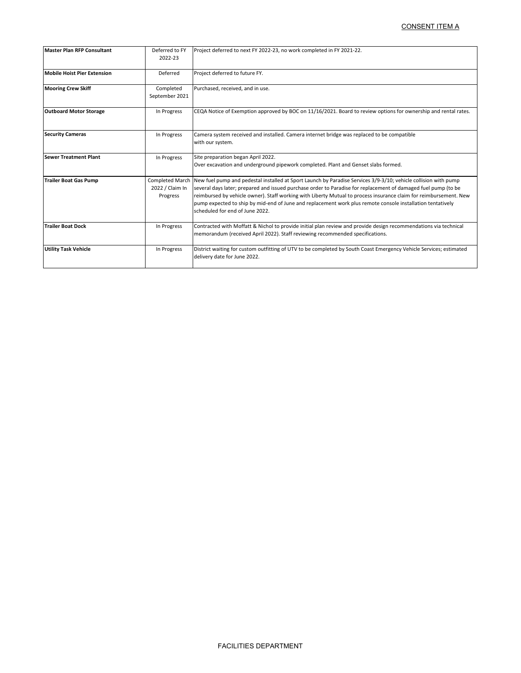|                                    |                                                                                                                                                                                                                                                                                                                                                                                                                                                                                                                         | <u>CONSENT ITEM A</u>                                                                                                                                                                             |
|------------------------------------|-------------------------------------------------------------------------------------------------------------------------------------------------------------------------------------------------------------------------------------------------------------------------------------------------------------------------------------------------------------------------------------------------------------------------------------------------------------------------------------------------------------------------|---------------------------------------------------------------------------------------------------------------------------------------------------------------------------------------------------|
|                                    |                                                                                                                                                                                                                                                                                                                                                                                                                                                                                                                         |                                                                                                                                                                                                   |
| <b>Master Plan RFP Consultant</b>  | Deferred to FY<br>2022-23                                                                                                                                                                                                                                                                                                                                                                                                                                                                                               | Project deferred to next FY 2022-23, no work completed in FY 2021-22.                                                                                                                             |
| <b>Mobile Hoist Pier Extension</b> | Deferred                                                                                                                                                                                                                                                                                                                                                                                                                                                                                                                | Project deferred to future FY.                                                                                                                                                                    |
| <b>Mooring Crew Skiff</b>          | Completed<br>September 2021                                                                                                                                                                                                                                                                                                                                                                                                                                                                                             | Purchased, received, and in use.                                                                                                                                                                  |
| <b>Outboard Motor Storage</b>      | In Progress                                                                                                                                                                                                                                                                                                                                                                                                                                                                                                             | CEQA Notice of Exemption approved by BOC on 11/16/2021. Board to review options for ownership and rental rates.                                                                                   |
| <b>Security Cameras</b>            | In Progress                                                                                                                                                                                                                                                                                                                                                                                                                                                                                                             | Camera system received and installed. Camera internet bridge was replaced to be compatible<br>with our system.                                                                                    |
| <b>Sewer Treatment Plant</b>       | In Progress                                                                                                                                                                                                                                                                                                                                                                                                                                                                                                             | Site preparation began April 2022.<br>Over excavation and underground pipework completed. Plant and Genset slabs formed.                                                                          |
| <b>Trailer Boat Gas Pump</b>       | Completed March New fuel pump and pedestal installed at Sport Launch by Paradise Services 3/9-3/10; vehicle collision with pump<br>several days later; prepared and issued purchase order to Paradise for replacement of damaged fuel pump (to be<br>reimbursed by vehicle owner). Staff working with Liberty Mutual to process insurance claim for reimbursement. New<br>pump expected to ship by mid-end of June and replacement work plus remote console installation tentatively<br>scheduled for end of June 2022. |                                                                                                                                                                                                   |
| <b>Trailer Boat Dock</b>           | In Progress                                                                                                                                                                                                                                                                                                                                                                                                                                                                                                             | Contracted with Moffatt & Nichol to provide initial plan review and provide design recommendations via technical<br>memorandum (received April 2022). Staff reviewing recommended specifications. |
| <b>Utility Task Vehicle</b>        | In Progress                                                                                                                                                                                                                                                                                                                                                                                                                                                                                                             | District waiting for custom outfitting of UTV to be completed by South Coast Emergency Vehicle Services; estimated<br>delivery date for June 2022.                                                |
|                                    |                                                                                                                                                                                                                                                                                                                                                                                                                                                                                                                         |                                                                                                                                                                                                   |
|                                    |                                                                                                                                                                                                                                                                                                                                                                                                                                                                                                                         |                                                                                                                                                                                                   |
|                                    |                                                                                                                                                                                                                                                                                                                                                                                                                                                                                                                         | FACILITIES DEPARTMENT                                                                                                                                                                             |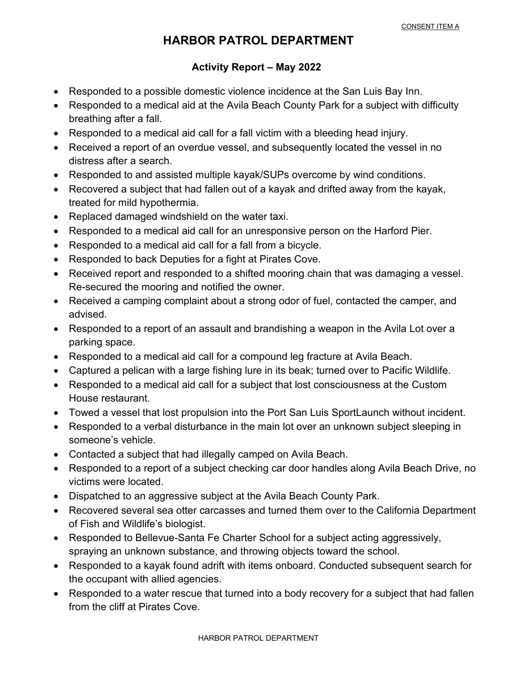# **HARBOR PATROL DEPARTMENT**

#### **Activity Report – May 2022**

- **x** Responded to a possible domestic violence incidence at the San Luis Bay Inn.
- x Responded to a medical aid at the Avila Beach County Park for a subject with difficulty breathing after a fall.
- x Responded to a medical aid call for a fall victim with a bleeding head injury.
- x Received a report of an overdue vessel, and subsequently located the vessel in no distress after a search.
- x Responded to and assisted multiple kayak/SUPs overcome by wind conditions.
- x Recovered a subject that had fallen out of a kayak and drifted away from the kayak, treated for mild hypothermia.
- x Replaced damaged windshield on the water taxi.
- x Responded to a medical aid call for an unresponsive person on the Harford Pier.
- x Responded to a medical aid call for a fall from a bicycle.
- x Responded to back Deputies for a fight at Pirates Cove.
- x Received report and responded to a shifted mooring chain that was damaging a vessel. Re-secured the mooring and notified the owner.
- x Received a camping complaint about a strong odor of fuel, contacted the camper, and advised.
- x Responded to a report of an assault and brandishing a weapon in the Avila Lot over a parking space.
- x Responded to a medical aid call for a compound leg fracture at Avila Beach.
- x Captured a pelican with a large fishing lure in its beak; turned over to Pacific Wildlife.
- x Responded to a medical aid call for a subject that lost consciousness at the Custom House restaurant.
- x Towed a vessel that lost propulsion into the Port San Luis SportLaunch without incident.
- x Responded to a verbal disturbance in the main lot over an unknown subject sleeping in someone's vehicle.
- x Contacted a subject that had illegally camped on Avila Beach.
- x Responded to a report of a subject checking car door handles along Avila Beach Drive, no victims were located.
- x Dispatched to an aggressive subject at the Avila Beach County Park.
- x Recovered several sea otter carcasses and turned them over to the California Department of Fish and Wildlife's biologist.
- x Responded to Bellevue-Santa Fe Charter School for a subject acting aggressively, spraying an unknown substance, and throwing objects toward the school.
- x Responded to a kayak found adrift with items onboard. Conducted subsequent search for the occupant with allied agencies.
- x Responded to a water rescue that turned into a body recovery for a subject that had fallen from the cliff at Pirates Cove.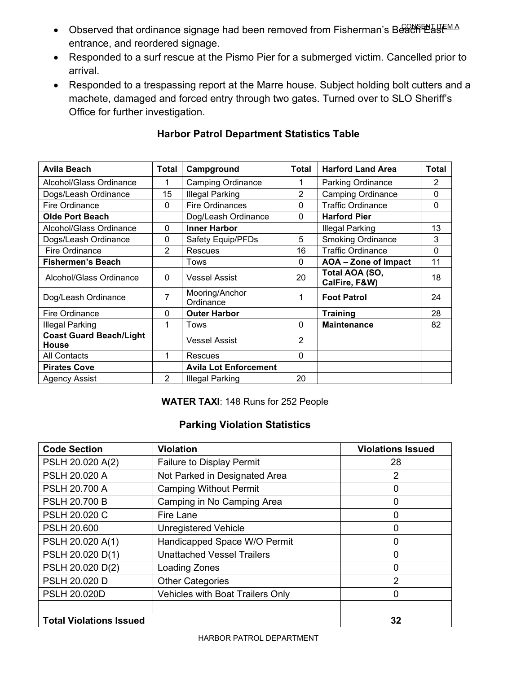- Observed that ordinance signage had been removed from Fisherman's Beach East entrance, and reordered signage.
- Responded to a surf rescue at the Pismo Pier for a submerged victim. Cancelled prior to arrival.
- Responded to a trespassing report at the Marre house. Subject holding bolt cutters and a machete, damaged and forced entry through two gates. Turned over to SLO Sheriff's Office for further investigation.

| <b>Avila Beach</b>                             | <b>Total</b>   | Campground                   | <b>Total</b> | <b>Harford Land Area</b>        | <b>Total</b>   |
|------------------------------------------------|----------------|------------------------------|--------------|---------------------------------|----------------|
| Alcohol/Glass Ordinance                        |                | <b>Camping Ordinance</b>     |              | <b>Parking Ordinance</b>        | $\overline{2}$ |
| Dogs/Leash Ordinance                           | 15             | <b>Illegal Parking</b>       | 2            | <b>Camping Ordinance</b>        | $\mathbf{0}$   |
| Fire Ordinance                                 | $\Omega$       | <b>Fire Ordinances</b>       | 0            | <b>Traffic Ordinance</b>        | $\Omega$       |
| <b>Olde Port Beach</b>                         |                | Dog/Leash Ordinance          | 0            | <b>Harford Pier</b>             |                |
| Alcohol/Glass Ordinance                        | $\Omega$       | <b>Inner Harbor</b>          |              | Illegal Parking                 | 13             |
| Dogs/Leash Ordinance                           | 0              | Safety Equip/PFDs            | 5            | <b>Smoking Ordinance</b>        | 3              |
| Fire Ordinance                                 | $\overline{2}$ | <b>Rescues</b>               | 16           | <b>Traffic Ordinance</b>        | $\mathbf 0$    |
| <b>Fishermen's Beach</b>                       |                | Tows                         | $\mathbf{0}$ | AOA - Zone of Impact            | 11             |
| Alcohol/Glass Ordinance                        | $\Omega$       | <b>Vessel Assist</b>         | 20           | Total AOA (SO,<br>CalFire, F&W) | 18             |
| Dog/Leash Ordinance                            | 7              | Mooring/Anchor<br>Ordinance  | 1            | <b>Foot Patrol</b>              | 24             |
| Fire Ordinance                                 | $\Omega$       | <b>Outer Harbor</b>          |              | <b>Training</b>                 | 28             |
| <b>Illegal Parking</b>                         | 1              | Tows                         | $\Omega$     | <b>Maintenance</b>              | 82             |
| <b>Coast Guard Beach/Light</b><br><b>House</b> |                | <b>Vessel Assist</b>         | 2            |                                 |                |
| All Contacts                                   | 1              | <b>Rescues</b>               | $\Omega$     |                                 |                |
| <b>Pirates Cove</b>                            |                | <b>Avila Lot Enforcement</b> |              |                                 |                |
| <b>Agency Assist</b>                           | $\overline{2}$ | <b>Illegal Parking</b>       | 20           |                                 |                |

#### **Harbor Patrol Department Statistics Table**

**WATER TAXI**: 148 Runs for 252 People

#### **Parking Violation Statistics**

| <b>Code Section</b>            | <b>Violation</b>                        | <b>Violations Issued</b> |
|--------------------------------|-----------------------------------------|--------------------------|
| PSLH 20.020 A(2)               | <b>Failure to Display Permit</b>        | 28                       |
| <b>PSLH 20.020 A</b>           | Not Parked in Designated Area           | $\overline{2}$           |
| <b>PSLH 20.700 A</b>           | <b>Camping Without Permit</b>           | 0                        |
| <b>PSLH 20.700 B</b>           | Camping in No Camping Area              | 0                        |
| <b>PSLH 20.020 C</b>           | Fire Lane                               | 0                        |
| <b>PSLH 20.600</b>             | <b>Unregistered Vehicle</b>             | 0                        |
| PSLH 20.020 A(1)               | Handicapped Space W/O Permit            | 0                        |
| PSLH 20.020 D(1)               | <b>Unattached Vessel Trailers</b>       | 0                        |
| PSLH 20.020 D(2)               | Loading Zones                           | 0                        |
| PSLH 20.020 D                  | <b>Other Categories</b>                 | $\overline{2}$           |
| <b>PSLH 20.020D</b>            | <b>Vehicles with Boat Trailers Only</b> | 0                        |
|                                |                                         |                          |
| <b>Total Violations Issued</b> |                                         | 32                       |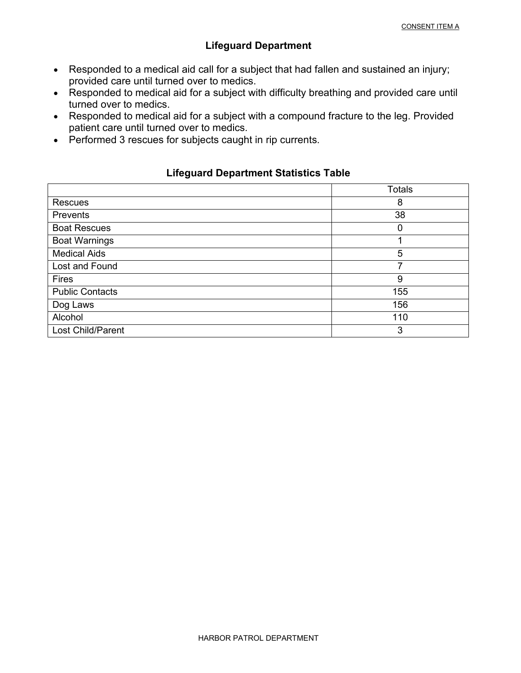#### **Lifeguard Department**

- Responded to a medical aid call for a subject that had fallen and sustained an injury; provided care until turned over to medics.
- Responded to medical aid for a subject with difficulty breathing and provided care until turned over to medics.
- Responded to medical aid for a subject with a compound fracture to the leg. Provided patient care until turned over to medics.
- Performed 3 rescues for subjects caught in rip currents.

#### **Lifeguard Department Statistics Table**

|                        | <b>Totals</b> |
|------------------------|---------------|
| <b>Rescues</b>         | 8             |
| <b>Prevents</b>        | 38            |
| <b>Boat Rescues</b>    | 0             |
| <b>Boat Warnings</b>   |               |
| <b>Medical Aids</b>    | 5             |
| Lost and Found         |               |
| <b>Fires</b>           | 9             |
| <b>Public Contacts</b> | 155           |
| Dog Laws               | 156           |
| Alcohol                | 110           |
| Lost Child/Parent      | 3             |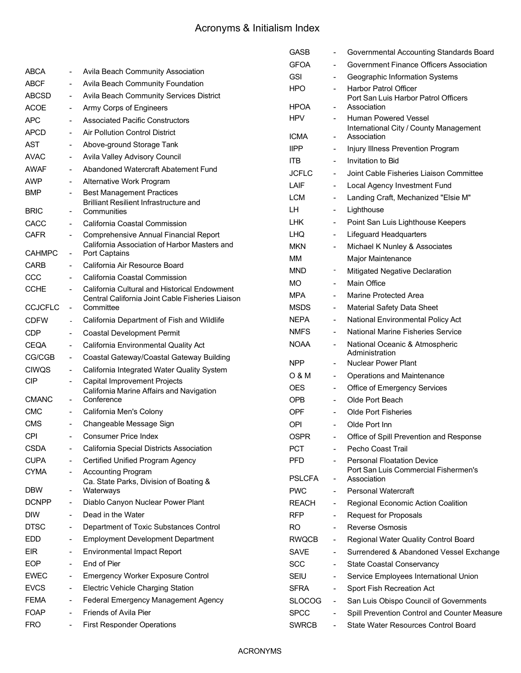# Acronyms & Initialism Index

|                             |                              |                                                                                   | <b>GASB</b>   |                              | Governmental Accounting Standards Board             |
|-----------------------------|------------------------------|-----------------------------------------------------------------------------------|---------------|------------------------------|-----------------------------------------------------|
| <b>ABCA</b>                 |                              | Avila Beach Community Association                                                 | <b>GFOA</b>   | $\overline{\phantom{0}}$     | Government Finance Officers Association             |
|                             | $\qquad \qquad \blacksquare$ |                                                                                   | <b>GSI</b>    | $\qquad \qquad \blacksquare$ | Geographic Information Systems                      |
| <b>ABCF</b><br><b>ABCSD</b> |                              | Avila Beach Community Foundation<br>Avila Beach Community Services District       | <b>HPO</b>    | $\overline{a}$               | Harbor Patrol Officer                               |
|                             | $\qquad \qquad \blacksquare$ |                                                                                   | <b>HPOA</b>   | $\overline{a}$               | Port San Luis Harbor Patrol Officers<br>Association |
| <b>ACOE</b>                 | $\qquad \qquad \blacksquare$ | Army Corps of Engineers                                                           | <b>HPV</b>    | $\overline{\phantom{0}}$     | <b>Human Powered Vessel</b>                         |
| <b>APC</b>                  |                              | <b>Associated Pacific Constructors</b>                                            |               |                              | International City / County Management              |
| <b>APCD</b>                 | $\qquad \qquad \blacksquare$ | <b>Air Pollution Control District</b>                                             | <b>ICMA</b>   | $\qquad \qquad \blacksquare$ | Association                                         |
| <b>AST</b>                  | $\blacksquare$               | Above-ground Storage Tank                                                         | <b>IIPP</b>   | $\overline{a}$               | Injury Illness Prevention Program                   |
| <b>AVAC</b>                 | $\qquad \qquad \blacksquare$ | Avila Valley Advisory Council                                                     | <b>ITB</b>    | $\overline{\phantom{a}}$     | Invitation to Bid                                   |
| <b>AWAF</b>                 | $\qquad \qquad \blacksquare$ | Abandoned Watercraft Abatement Fund                                               | <b>JCFLC</b>  | $\overline{\phantom{0}}$     | Joint Cable Fisheries Liaison Committee             |
| <b>AWP</b>                  | $\qquad \qquad \blacksquare$ | Alternative Work Program                                                          | LAIF          | $\overline{\phantom{0}}$     | Local Agency Investment Fund                        |
| <b>BMP</b>                  |                              | <b>Best Management Practices</b><br><b>Brilliant Resilient Infrastructure and</b> | <b>LCM</b>    | $\qquad \qquad \blacksquare$ | Landing Craft, Mechanized "Elsie M"                 |
| <b>BRIC</b>                 | $\qquad \qquad \blacksquare$ | Communities                                                                       | LH            | $\qquad \qquad \blacksquare$ | Lighthouse                                          |
| <b>CACC</b>                 |                              | California Coastal Commission                                                     | <b>LHK</b>    | $\blacksquare$               | Point San Luis Lighthouse Keepers                   |
| <b>CAFR</b>                 | $\qquad \qquad \blacksquare$ | <b>Comprehensive Annual Financial Report</b>                                      | LHQ           | $\qquad \qquad \blacksquare$ | <b>Lifeguard Headquarters</b>                       |
|                             |                              | California Association of Harbor Masters and                                      | <b>MKN</b>    | $\qquad \qquad \blacksquare$ | Michael K Nunley & Associates                       |
| <b>CAHMPC</b>               | $\blacksquare$               | Port Captains                                                                     | ΜМ            |                              | Major Maintenance                                   |
| CARB                        |                              | California Air Resource Board                                                     | <b>MND</b>    | $\overline{a}$               | Mitigated Negative Declaration                      |
| CCC                         |                              | California Coastal Commission                                                     | МO            | $\overline{a}$               | Main Office                                         |
| <b>CCHE</b>                 |                              | California Cultural and Historical Endowment                                      | <b>MPA</b>    | $\overline{a}$               | Marine Protected Area                               |
| <b>CCJCFLC</b>              | $\blacksquare$               | Central California Joint Cable Fisheries Liaison<br>Committee                     | <b>MSDS</b>   | $\qquad \qquad \blacksquare$ | Material Safety Data Sheet                          |
| <b>CDFW</b>                 |                              | California Department of Fish and Wildlife                                        | <b>NEPA</b>   | $\blacksquare$               | National Environmental Policy Act                   |
| <b>CDP</b>                  | $\qquad \qquad \blacksquare$ | <b>Coastal Development Permit</b>                                                 | <b>NMFS</b>   | $\qquad \qquad \blacksquare$ | <b>National Marine Fisheries Service</b>            |
| <b>CEQA</b>                 | $\qquad \qquad \blacksquare$ | California Environmental Quality Act                                              | <b>NOAA</b>   | $\qquad \qquad \blacksquare$ | National Oceanic & Atmospheric                      |
| CG/CGB                      | $\blacksquare$               | Coastal Gateway/Coastal Gateway Building                                          |               |                              | Administration                                      |
| <b>CIWQS</b>                | $\qquad \qquad \blacksquare$ | California Integrated Water Quality System                                        | <b>NPP</b>    | $\overline{a}$               | <b>Nuclear Power Plant</b>                          |
| <b>CIP</b>                  |                              | <b>Capital Improvement Projects</b>                                               | 0 & M         | $\blacksquare$               | Operations and Maintenance                          |
|                             |                              | California Marine Affairs and Navigation                                          | <b>OES</b>    | $\blacksquare$               | Office of Emergency Services                        |
| <b>CMANC</b>                | $\blacksquare$               | Conference                                                                        | <b>OPB</b>    | $\overline{a}$               | Olde Port Beach                                     |
| CMC                         | $\blacksquare$               | California Men's Colony                                                           | <b>OPF</b>    |                              | <b>Olde Port Fisheries</b>                          |
| <b>CMS</b>                  | $\qquad \qquad \blacksquare$ | Changeable Message Sign                                                           | OPI           | $\blacksquare$               | Olde Port Inn                                       |
| <b>CPI</b>                  |                              | <b>Consumer Price Index</b>                                                       | <b>OSPR</b>   |                              | Office of Spill Prevention and Response             |
| <b>CSDA</b>                 |                              | California Special Districts Association                                          | <b>PCT</b>    |                              | Pecho Coast Trail                                   |
| <b>CUPA</b>                 | $\qquad \qquad \blacksquare$ | Certified Unified Program Agency                                                  | <b>PFD</b>    |                              | <b>Personal Floatation Device</b>                   |
| <b>CYMA</b>                 |                              | <b>Accounting Program</b><br>Ca. State Parks, Division of Boating &               | <b>PSLCFA</b> | $\qquad \qquad \blacksquare$ | Port San Luis Commercial Fishermen's<br>Association |
| <b>DBW</b>                  | $\blacksquare$               | Waterways                                                                         | <b>PWC</b>    |                              | <b>Personal Watercraft</b>                          |
| <b>DCNPP</b>                | $\qquad \qquad \blacksquare$ | Diablo Canyon Nuclear Power Plant                                                 | <b>REACH</b>  | $\blacksquare$               | Regional Economic Action Coalition                  |
| <b>DIW</b>                  | $\overline{\phantom{a}}$     | Dead in the Water                                                                 | <b>RFP</b>    | $\blacksquare$               | <b>Request for Proposals</b>                        |
| <b>DTSC</b>                 | $\qquad \qquad \blacksquare$ | Department of Toxic Substances Control                                            | <b>RO</b>     | $\overline{a}$               | <b>Reverse Osmosis</b>                              |
| EDD                         | $\qquad \qquad \blacksquare$ | <b>Employment Development Department</b>                                          | <b>RWQCB</b>  | $\blacksquare$               | Regional Water Quality Control Board                |
| EIR.                        | $\blacksquare$               | <b>Environmental Impact Report</b>                                                | SAVE          | $\blacksquare$               | Surrendered & Abandoned Vessel Exchange             |
| <b>EOP</b>                  | $\qquad \qquad \blacksquare$ | End of Pier                                                                       | <b>SCC</b>    | $\blacksquare$               | <b>State Coastal Conservancy</b>                    |
| <b>EWEC</b>                 | $\qquad \qquad \blacksquare$ | Emergency Worker Exposure Control                                                 | <b>SEIU</b>   | $\blacksquare$               | Service Employees International Union               |
| <b>EVCS</b>                 | $\qquad \qquad \blacksquare$ | <b>Electric Vehicle Charging Station</b>                                          | <b>SFRA</b>   | $\blacksquare$               | Sport Fish Recreation Act                           |
| <b>FEMA</b>                 | $\blacksquare$               | Federal Emergency Management Agency                                               | <b>SLOCOG</b> | $\blacksquare$               | San Luis Obispo Council of Governments              |
| <b>FOAP</b>                 | $\qquad \qquad \blacksquare$ | Friends of Avila Pier                                                             | <b>SPCC</b>   | $\blacksquare$               | Spill Prevention Control and Counter Measure        |
| <b>FRO</b>                  |                              | <b>First Responder Operations</b>                                                 | <b>SWRCB</b>  |                              | State Water Resources Control Board                 |
|                             |                              |                                                                                   |               |                              |                                                     |